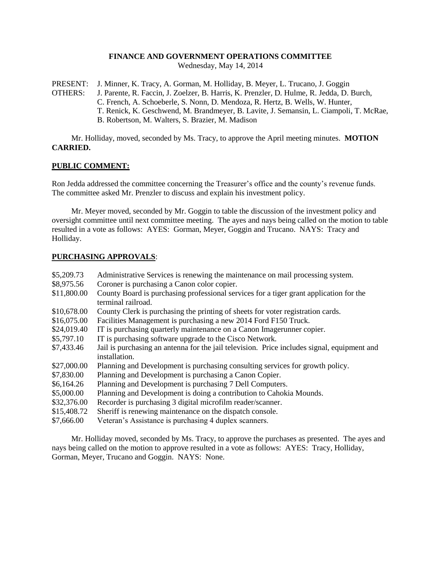### **FINANCE AND GOVERNMENT OPERATIONS COMMITTEE**

Wednesday, May 14, 2014

PRESENT: J. Minner, K. Tracy, A. Gorman, M. Holliday, B. Meyer, L. Trucano, J. Goggin

OTHERS: J. Parente, R. Faccin, J. Zoelzer, B. Harris, K. Prenzler, D. Hulme, R. Jedda, D. Burch, C. French, A. Schoeberle, S. Nonn, D. Mendoza, R. Hertz, B. Wells, W. Hunter, T. Renick, K. Geschwend, M. Brandmeyer, B. Lavite, J. Semansin, L. Ciampoli, T. McRae, B. Robertson, M. Walters, S. Brazier, M. Madison

Mr. Holliday, moved, seconded by Ms. Tracy, to approve the April meeting minutes. **MOTION CARRIED.**

## **PUBLIC COMMENT:**

Ron Jedda addressed the committee concerning the Treasurer's office and the county's revenue funds. The committee asked Mr. Prenzler to discuss and explain his investment policy.

Mr. Meyer moved, seconded by Mr. Goggin to table the discussion of the investment policy and oversight committee until next committee meeting. The ayes and nays being called on the motion to table resulted in a vote as follows: AYES: Gorman, Meyer, Goggin and Trucano. NAYS: Tracy and Holliday.

## **PURCHASING APPROVALS**:

| \$5,209.73  | Administrative Services is renewing the maintenance on mail processing system.                               |
|-------------|--------------------------------------------------------------------------------------------------------------|
| \$8,975.56  | Coroner is purchasing a Canon color copier.                                                                  |
| \$11,800.00 | County Board is purchasing professional services for a tiger grant application for the<br>terminal railroad. |
| \$10,678.00 | County Clerk is purchasing the printing of sheets for voter registration cards.                              |
| \$16,075.00 | Facilities Management is purchasing a new 2014 Ford F150 Truck.                                              |
| \$24,019.40 | IT is purchasing quarterly maintenance on a Canon Imagerunner copier.                                        |
| \$5,797.10  | IT is purchasing software upgrade to the Cisco Network.                                                      |
| \$7,433.46  | Jail is purchasing an antenna for the jail television. Price includes signal, equipment and<br>installation. |
| \$27,000.00 | Planning and Development is purchasing consulting services for growth policy.                                |
| \$7,830.00  | Planning and Development is purchasing a Canon Copier.                                                       |
| \$6,164.26  | Planning and Development is purchasing 7 Dell Computers.                                                     |
| \$5,000.00  | Planning and Development is doing a contribution to Cahokia Mounds.                                          |
| \$32,376.00 | Recorder is purchasing 3 digital microfilm reader/scanner.                                                   |
| \$15,408.72 | Sheriff is renewing maintenance on the dispatch console.                                                     |
| \$7,666.00  | Veteran's Assistance is purchasing 4 duplex scanners.                                                        |

Mr. Holliday moved, seconded by Ms. Tracy, to approve the purchases as presented. The ayes and nays being called on the motion to approve resulted in a vote as follows: AYES: Tracy, Holliday, Gorman, Meyer, Trucano and Goggin. NAYS: None.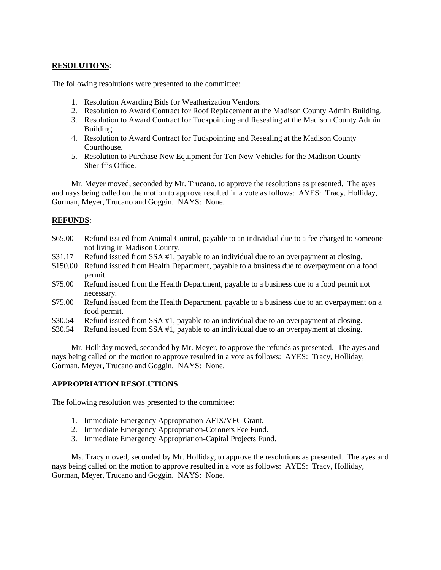# **RESOLUTIONS**:

The following resolutions were presented to the committee:

- 1. Resolution Awarding Bids for Weatherization Vendors.
- 2. Resolution to Award Contract for Roof Replacement at the Madison County Admin Building.
- 3. Resolution to Award Contract for Tuckpointing and Resealing at the Madison County Admin Building.
- 4. Resolution to Award Contract for Tuckpointing and Resealing at the Madison County Courthouse.
- 5. Resolution to Purchase New Equipment for Ten New Vehicles for the Madison County Sheriff's Office.

Mr. Meyer moved, seconded by Mr. Trucano, to approve the resolutions as presented. The ayes and nays being called on the motion to approve resulted in a vote as follows: AYES: Tracy, Holliday, Gorman, Meyer, Trucano and Goggin. NAYS: None.

## **REFUNDS**:

- \$65.00 Refund issued from Animal Control, payable to an individual due to a fee charged to someone not living in Madison County.
- \$31.17 Refund issued from SSA #1, payable to an individual due to an overpayment at closing.
- \$150.00 Refund issued from Health Department, payable to a business due to overpayment on a food permit.
- \$75.00 Refund issued from the Health Department, payable to a business due to a food permit not necessary.
- \$75.00 Refund issued from the Health Department, payable to a business due to an overpayment on a food permit.
- \$30.54 Refund issued from SSA #1, payable to an individual due to an overpayment at closing.
- \$30.54 Refund issued from SSA #1, payable to an individual due to an overpayment at closing.

Mr. Holliday moved, seconded by Mr. Meyer, to approve the refunds as presented. The ayes and nays being called on the motion to approve resulted in a vote as follows: AYES: Tracy, Holliday, Gorman, Meyer, Trucano and Goggin. NAYS: None.

## **APPROPRIATION RESOLUTIONS**:

The following resolution was presented to the committee:

- 1. Immediate Emergency Appropriation-AFIX/VFC Grant.
- 2. Immediate Emergency Appropriation-Coroners Fee Fund.
- 3. Immediate Emergency Appropriation-Capital Projects Fund.

Ms. Tracy moved, seconded by Mr. Holliday, to approve the resolutions as presented. The ayes and nays being called on the motion to approve resulted in a vote as follows: AYES: Tracy, Holliday, Gorman, Meyer, Trucano and Goggin. NAYS: None.